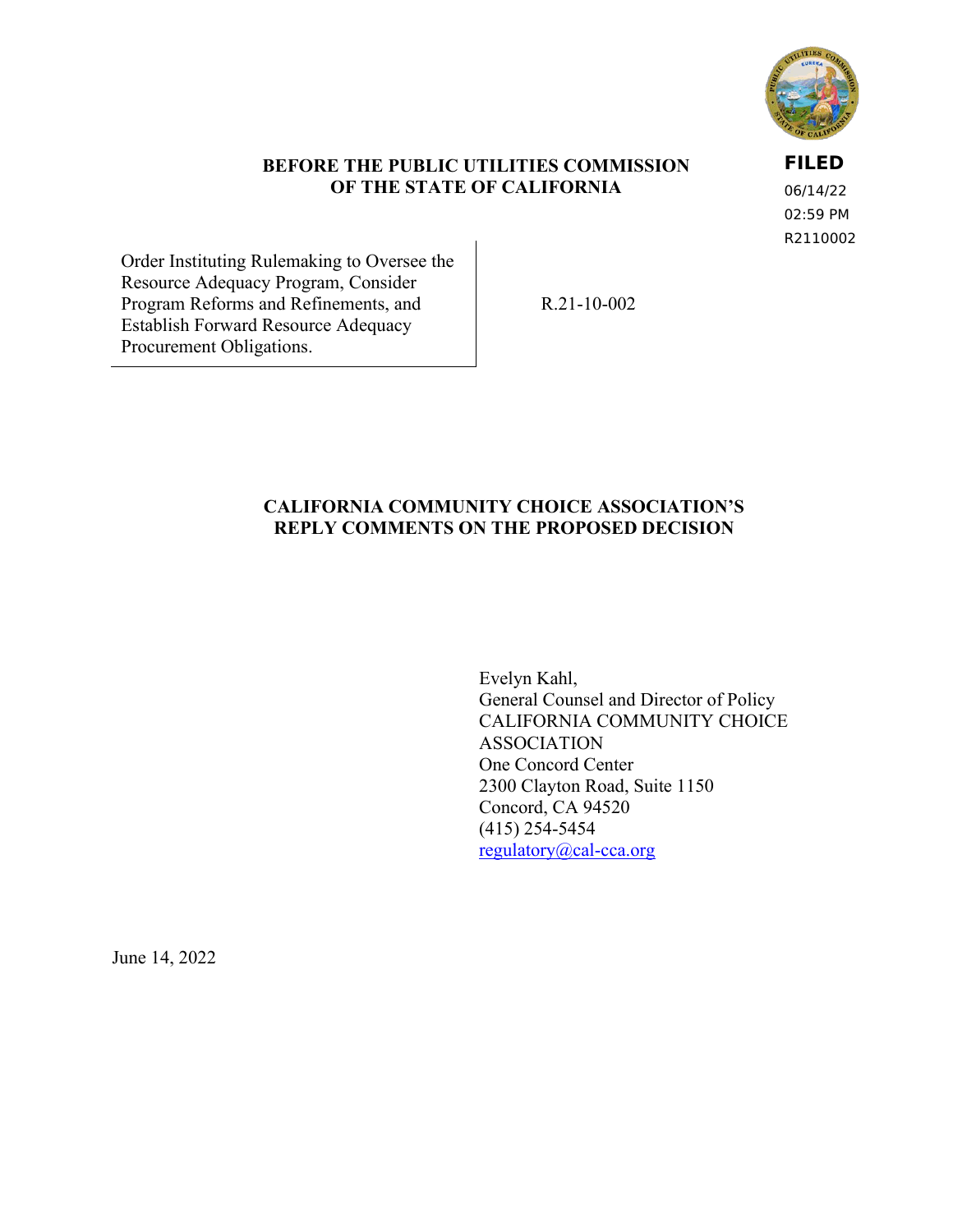

### **BEFORE THE PUBLIC UTILITIES COMMISSION OF THE STATE OF CALIFORNIA**

**FILED**

06/14/22 02:59 PM R2110002

Order Instituting Rulemaking to Oversee the Resource Adequacy Program, Consider Program Reforms and Refinements, and Establish Forward Resource Adequacy Procurement Obligations.

R.21-10-002

## **CALIFORNIA COMMUNITY CHOICE ASSOCIATION'S REPLY COMMENTS ON THE PROPOSED DECISION**

Evelyn Kahl, General Counsel and Director of Policy CALIFORNIA COMMUNITY CHOICE ASSOCIATION One Concord Center 2300 Clayton Road, Suite 1150 Concord, CA 94520 (415) 254-5454 [regulatory@cal-cca.org](mailto:regulatory@cal-cca.org)

June 14, 2022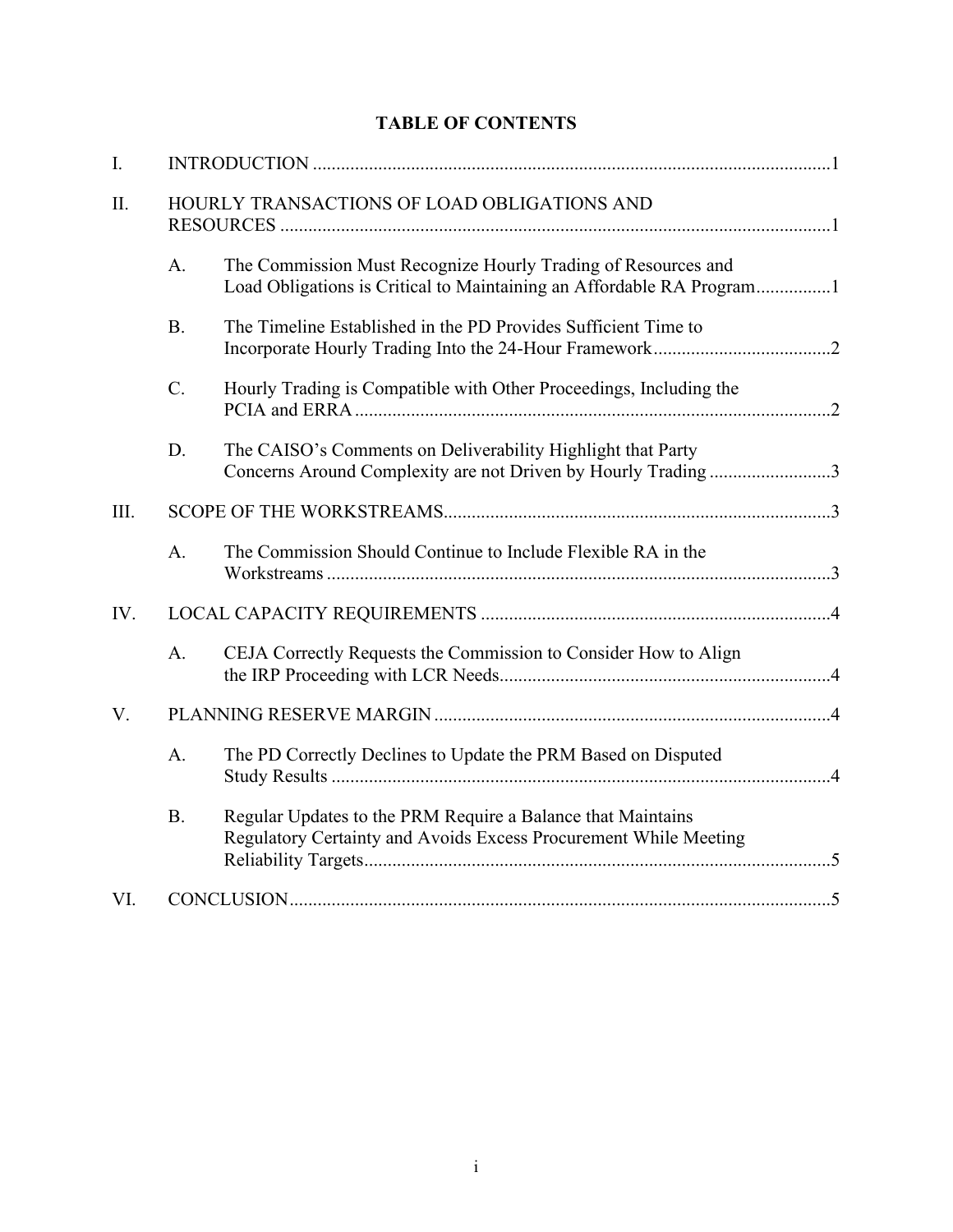# **TABLE OF CONTENTS**

| I.   |                                             |                                                                                                                                 |  |  |
|------|---------------------------------------------|---------------------------------------------------------------------------------------------------------------------------------|--|--|
| II.  | HOURLY TRANSACTIONS OF LOAD OBLIGATIONS AND |                                                                                                                                 |  |  |
|      | A.                                          | The Commission Must Recognize Hourly Trading of Resources and                                                                   |  |  |
|      | <b>B.</b>                                   | The Timeline Established in the PD Provides Sufficient Time to                                                                  |  |  |
|      | C.                                          | Hourly Trading is Compatible with Other Proceedings, Including the                                                              |  |  |
|      | D.                                          | The CAISO's Comments on Deliverability Highlight that Party<br>Concerns Around Complexity are not Driven by Hourly Trading3     |  |  |
| III. |                                             |                                                                                                                                 |  |  |
|      | A.                                          | The Commission Should Continue to Include Flexible RA in the                                                                    |  |  |
| IV.  |                                             |                                                                                                                                 |  |  |
|      | A.                                          | CEJA Correctly Requests the Commission to Consider How to Align                                                                 |  |  |
| V.   |                                             |                                                                                                                                 |  |  |
|      | A.                                          | The PD Correctly Declines to Update the PRM Based on Disputed                                                                   |  |  |
|      | <b>B.</b>                                   | Regular Updates to the PRM Require a Balance that Maintains<br>Regulatory Certainty and Avoids Excess Procurement While Meeting |  |  |
| VI.  |                                             |                                                                                                                                 |  |  |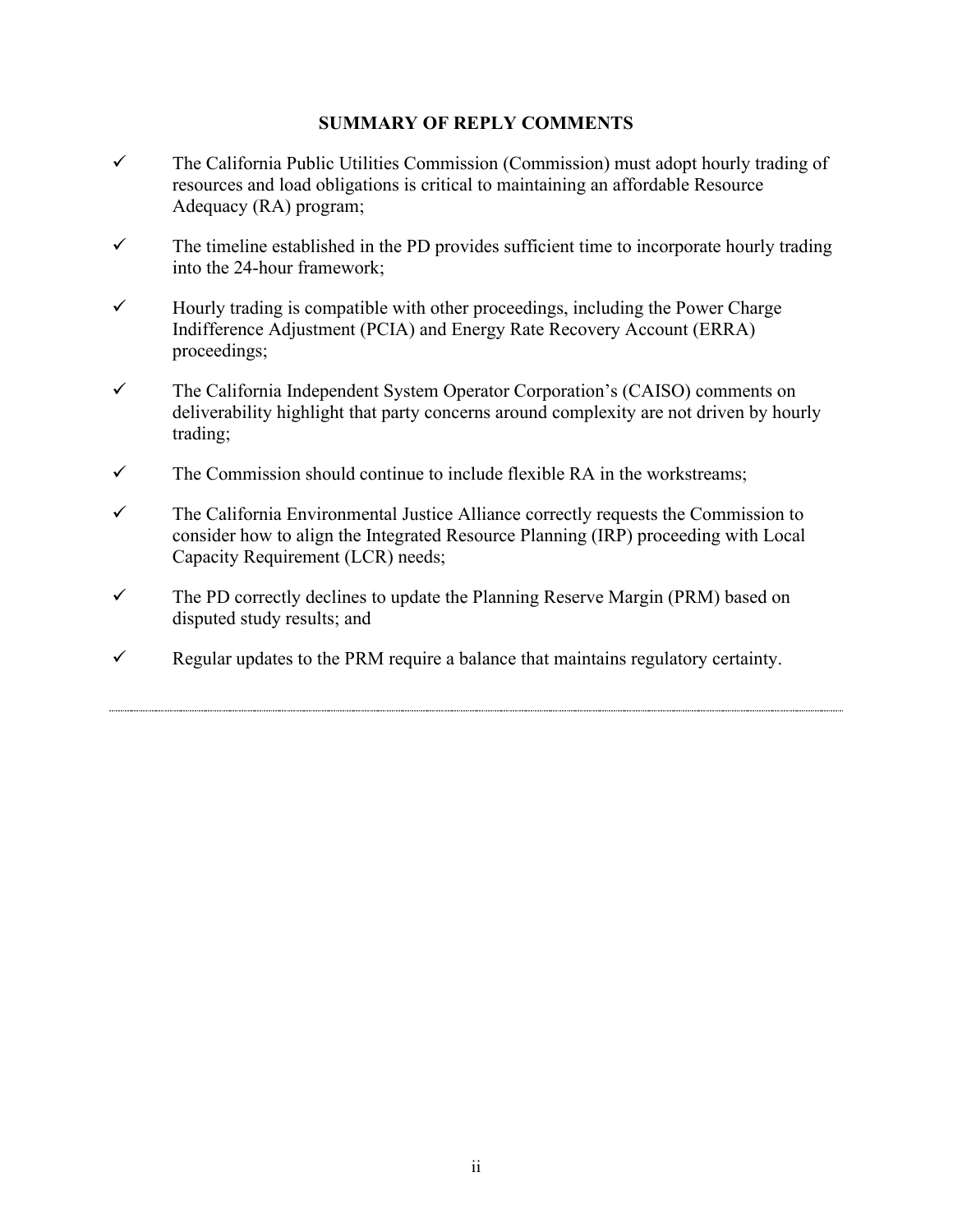## **SUMMARY OF REPLY COMMENTS**

- $\checkmark$  The California Public Utilities Commission (Commission) must adopt hourly trading of resources and load obligations is critical to maintaining an affordable Resource Adequacy (RA) program;
- $\checkmark$  The timeline established in the PD provides sufficient time to incorporate hourly trading into the 24-hour framework;
- $\checkmark$  Hourly trading is compatible with other proceedings, including the Power Charge Indifference Adjustment (PCIA) and Energy Rate Recovery Account (ERRA) proceedings;
- The California Independent System Operator Corporation's (CAISO) comments on deliverability highlight that party concerns around complexity are not driven by hourly trading;
- $\checkmark$  The Commission should continue to include flexible RA in the workstreams;
- $\checkmark$  The California Environmental Justice Alliance correctly requests the Commission to consider how to align the Integrated Resource Planning (IRP) proceeding with Local Capacity Requirement (LCR) needs;
- $\checkmark$  The PD correctly declines to update the Planning Reserve Margin (PRM) based on disputed study results; and
- $\checkmark$  Regular updates to the PRM require a balance that maintains regulatory certainty.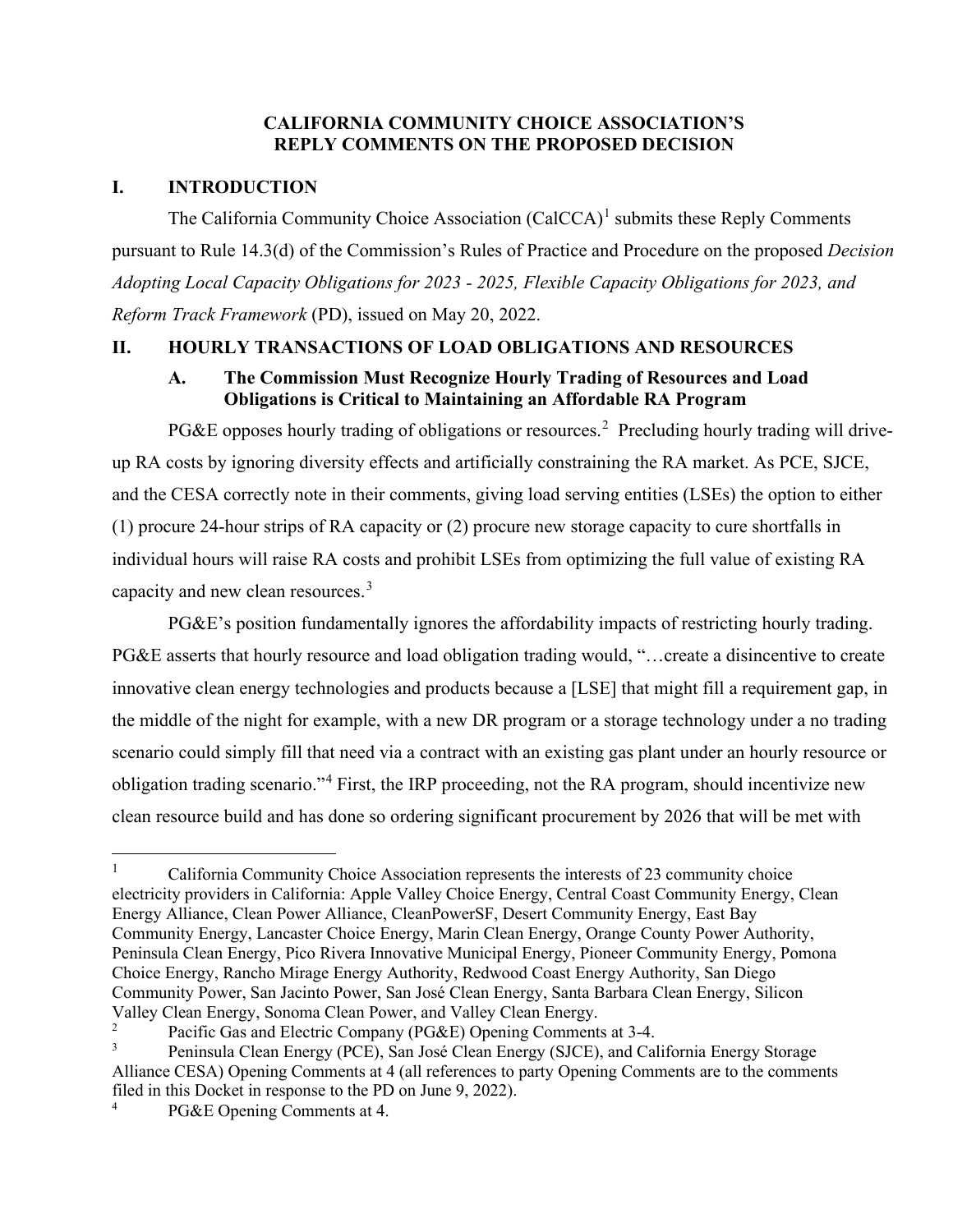## **CALIFORNIA COMMUNITY CHOICE ASSOCIATION'S REPLY COMMENTS ON THE PROPOSED DECISION**

## <span id="page-3-0"></span>**I. INTRODUCTION**

The California Community Choice Association  $(CaICCA)^1$  $(CaICCA)^1$  submits these Reply Comments pursuant to Rule 14.3(d) of the Commission's Rules of Practice and Procedure on the proposed *Decision Adopting Local Capacity Obligations for 2023 - 2025, Flexible Capacity Obligations for 2023, and Reform Track Framework* (PD), issued on May 20, 2022.

## <span id="page-3-2"></span><span id="page-3-1"></span>**II. HOURLY TRANSACTIONS OF LOAD OBLIGATIONS AND RESOURCES**

## **A. The Commission Must Recognize Hourly Trading of Resources and Load Obligations is Critical to Maintaining an Affordable RA Program**

PG&E opposes hourly trading of obligations or resources.<sup>[2](#page-3-4)</sup> Precluding hourly trading will driveup RA costs by ignoring diversity effects and artificially constraining the RA market. As PCE, SJCE, and the CESA correctly note in their comments, giving load serving entities (LSEs) the option to either (1) procure 24-hour strips of RA capacity or (2) procure new storage capacity to cure shortfalls in individual hours will raise RA costs and prohibit LSEs from optimizing the full value of existing RA capacity and new clean resources.<sup>[3](#page-3-5)</sup>

PG&E's position fundamentally ignores the affordability impacts of restricting hourly trading. PG&E asserts that hourly resource and load obligation trading would, "…create a disincentive to create innovative clean energy technologies and products because a [LSE] that might fill a requirement gap, in the middle of the night for example, with a new DR program or a storage technology under a no trading scenario could simply fill that need via a contract with an existing gas plant under an hourly resource or obligation trading scenario."[4](#page-3-6) First, the IRP proceeding, not the RA program, should incentivize new clean resource build and has done so ordering significant procurement by 2026 that will be met with

<span id="page-3-3"></span><sup>1</sup> California Community Choice Association represents the interests of 23 community choice electricity providers in California: Apple Valley Choice Energy, Central Coast Community Energy, Clean Energy Alliance, Clean Power Alliance, CleanPowerSF, Desert Community Energy, East Bay Community Energy, Lancaster Choice Energy, Marin Clean Energy, Orange County Power Authority, Peninsula Clean Energy, Pico Rivera Innovative Municipal Energy, Pioneer Community Energy, Pomona Choice Energy, Rancho Mirage Energy Authority, Redwood Coast Energy Authority, San Diego Community Power, San Jacinto Power, San José Clean Energy, Santa Barbara Clean Energy, Silicon Valley Clean Energy, Sonoma Clean Power, and Valley Clean Energy.

<span id="page-3-4"></span><sup>2</sup> Pacific Gas and Electric Company (PG&E) Opening Comments at 3-4.

<span id="page-3-5"></span><sup>3</sup> Peninsula Clean Energy (PCE), San José Clean Energy (SJCE), and California Energy Storage Alliance CESA) Opening Comments at 4 (all references to party Opening Comments are to the comments filed in this Docket in response to the PD on June 9, 2022).

<span id="page-3-6"></span>PG&E Opening Comments at 4.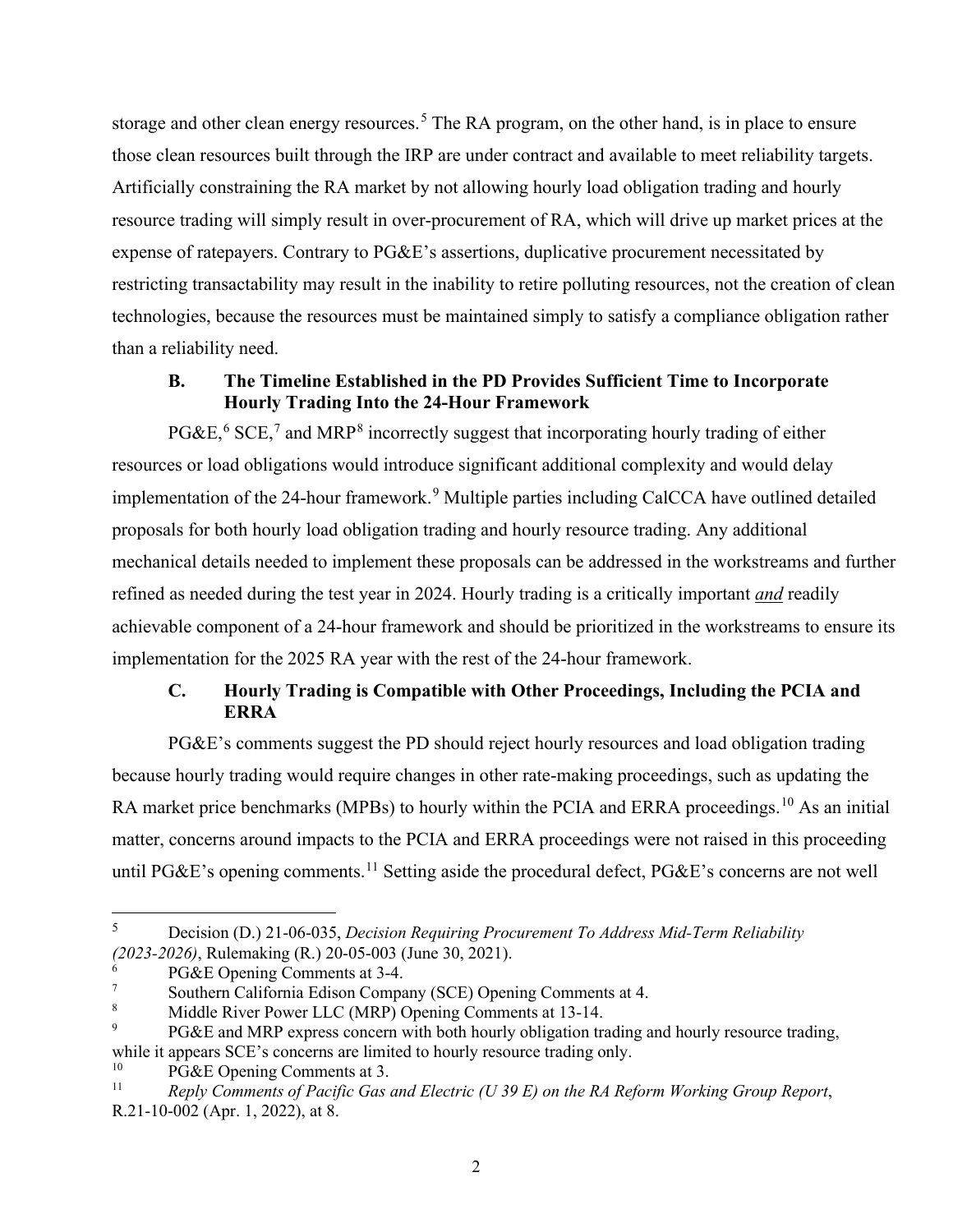storage and other clean energy resources.<sup>[5](#page-4-2)</sup> The RA program, on the other hand, is in place to ensure those clean resources built through the IRP are under contract and available to meet reliability targets. Artificially constraining the RA market by not allowing hourly load obligation trading and hourly resource trading will simply result in over-procurement of RA, which will drive up market prices at the expense of ratepayers. Contrary to PG&E's assertions, duplicative procurement necessitated by restricting transactability may result in the inability to retire polluting resources, not the creation of clean technologies, because the resources must be maintained simply to satisfy a compliance obligation rather than a reliability need.

## **B. The Timeline Established in the PD Provides Sufficient Time to Incorporate Hourly Trading Into the 24-Hour Framework**

<span id="page-4-0"></span>PG&E,<sup>[6](#page-4-3)</sup> SCE,<sup>[7](#page-4-4)</sup> and MRP<sup>[8](#page-4-5)</sup> incorrectly suggest that incorporating hourly trading of either resources or load obligations would introduce significant additional complexity and would delay implementation of the 24-hour framework.<sup>[9](#page-4-6)</sup> Multiple parties including CalCCA have outlined detailed proposals for both hourly load obligation trading and hourly resource trading. Any additional mechanical details needed to implement these proposals can be addressed in the workstreams and further refined as needed during the test year in 2024. Hourly trading is a critically important *and* readily achievable component of a 24-hour framework and should be prioritized in the workstreams to ensure its implementation for the 2025 RA year with the rest of the 24-hour framework.

# **C. Hourly Trading is Compatible with Other Proceedings, Including the PCIA and ERRA**

<span id="page-4-1"></span>PG&E's comments suggest the PD should reject hourly resources and load obligation trading because hourly trading would require changes in other rate-making proceedings, such as updating the RA market price benchmarks (MPBs) to hourly within the PCIA and ERRA proceedings.<sup>[10](#page-4-7)</sup> As an initial matter, concerns around impacts to the PCIA and ERRA proceedings were not raised in this proceeding until PG&E's opening comments.<sup>[11](#page-4-8)</sup> Setting aside the procedural defect, PG&E's concerns are not well

<span id="page-4-2"></span><sup>5</sup> Decision (D.) 21-06-035, *Decision Requiring Procurement To Address Mid-Term Reliability (2023-2026)*, Rulemaking (R.) 20-05-003 (June 30, 2021).

<span id="page-4-3"></span>PG&E Opening Comments at 3-4.

<span id="page-4-4"></span><sup>7</sup> Southern California Edison Company (SCE) Opening Comments at 4.

<span id="page-4-5"></span><sup>8</sup> Middle River Power LLC (MRP) Opening Comments at 13-14.

<span id="page-4-6"></span><sup>9</sup> PG&E and MRP express concern with both hourly obligation trading and hourly resource trading, while it appears SCE's concerns are limited to hourly resource trading only.

<span id="page-4-7"></span><sup>&</sup>lt;sup>10</sup> PG&E Opening Comments at 3.<br><sup>11</sup> Reply Comments of Pacific Gas

<span id="page-4-8"></span><sup>11</sup> *Reply Comments of Pacific Gas and Electric (U 39 E) on the RA Reform Working Group Report*, R.21-10-002 (Apr. 1, 2022), at 8.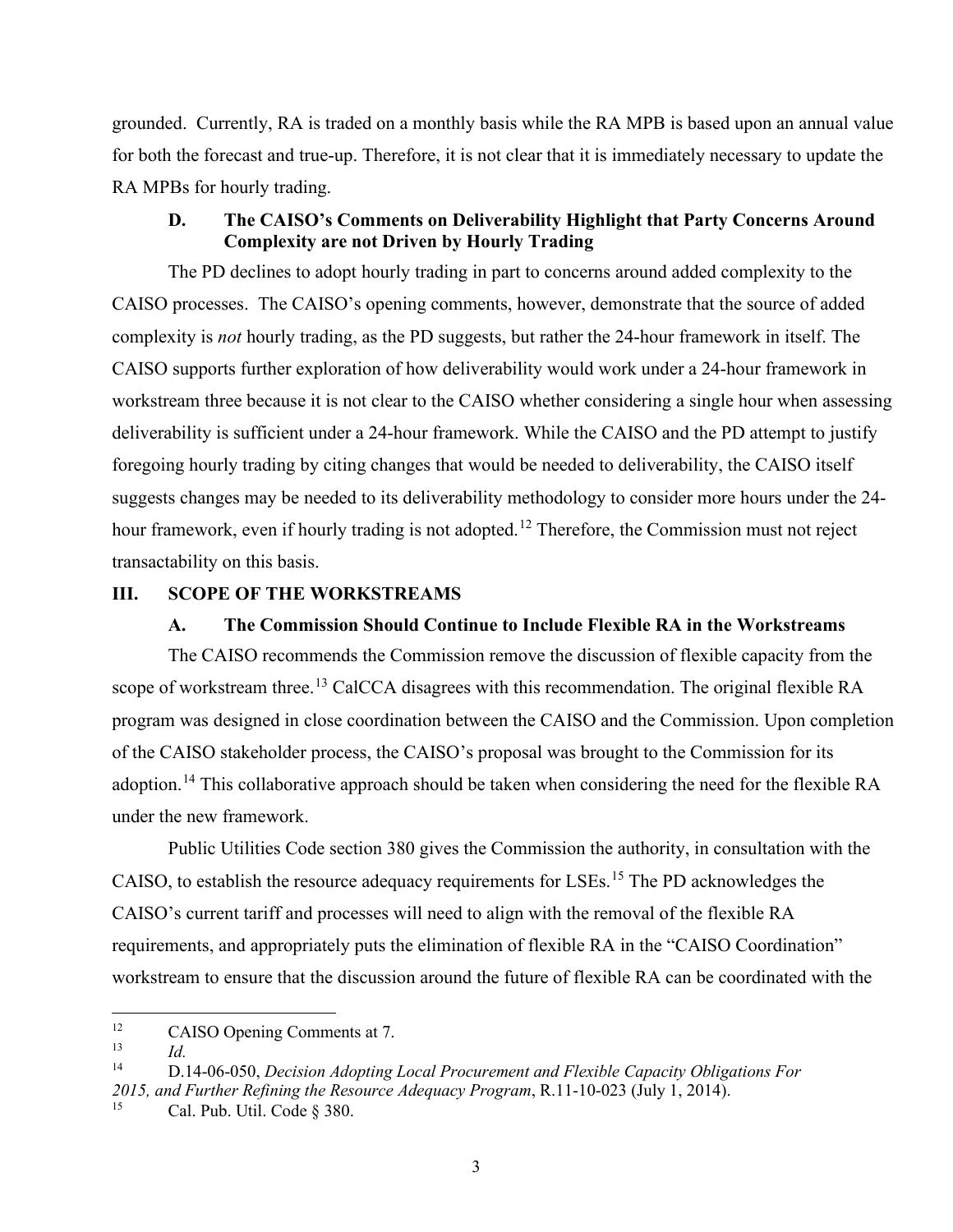grounded. Currently, RA is traded on a monthly basis while the RA MPB is based upon an annual value for both the forecast and true-up. Therefore, it is not clear that it is immediately necessary to update the RA MPBs for hourly trading.

#### **D. The CAISO's Comments on Deliverability Highlight that Party Concerns Around Complexity are not Driven by Hourly Trading**

<span id="page-5-0"></span>The PD declines to adopt hourly trading in part to concerns around added complexity to the CAISO processes. The CAISO's opening comments, however, demonstrate that the source of added complexity is *not* hourly trading, as the PD suggests, but rather the 24-hour framework in itself. The CAISO supports further exploration of how deliverability would work under a 24-hour framework in workstream three because it is not clear to the CAISO whether considering a single hour when assessing deliverability is sufficient under a 24-hour framework. While the CAISO and the PD attempt to justify foregoing hourly trading by citing changes that would be needed to deliverability, the CAISO itself suggests changes may be needed to its deliverability methodology to consider more hours under the 24- hour framework, even if hourly trading is not adopted.<sup>[12](#page-5-3)</sup> Therefore, the Commission must not reject transactability on this basis.

### <span id="page-5-2"></span><span id="page-5-1"></span>**III. SCOPE OF THE WORKSTREAMS**

#### **A. The Commission Should Continue to Include Flexible RA in the Workstreams**

The CAISO recommends the Commission remove the discussion of flexible capacity from the scope of workstream three.<sup>[13](#page-5-4)</sup> CalCCA disagrees with this recommendation. The original flexible RA program was designed in close coordination between the CAISO and the Commission. Upon completion of the CAISO stakeholder process, the CAISO's proposal was brought to the Commission for its adoption.<sup>14</sup> This collaborative approach should be taken when considering the need for the flexible RA under the new framework.

Public Utilities Code section 380 gives the Commission the authority, in consultation with the CAISO, to establish the resource adequacy requirements for LSEs.<sup>[15](#page-5-6)</sup> The PD acknowledges the CAISO's current tariff and processes will need to align with the removal of the flexible RA requirements, and appropriately puts the elimination of flexible RA in the "CAISO Coordination" workstream to ensure that the discussion around the future of flexible RA can be coordinated with the

<span id="page-5-3"></span><sup>&</sup>lt;sup>12</sup> CAISO Opening Comments at 7.<br> $\frac{13}{13}$ 

<span id="page-5-5"></span><span id="page-5-4"></span><sup>13</sup>*Id.* 14 D.14-06-050, *Decision Adopting Local Procurement and Flexible Capacity Obligations For 2015, and Further Refining the Resource Adequacy Program*, R.11-10-023 (July 1, 2014).

<span id="page-5-6"></span>Cal. Pub. Util. Code § 380.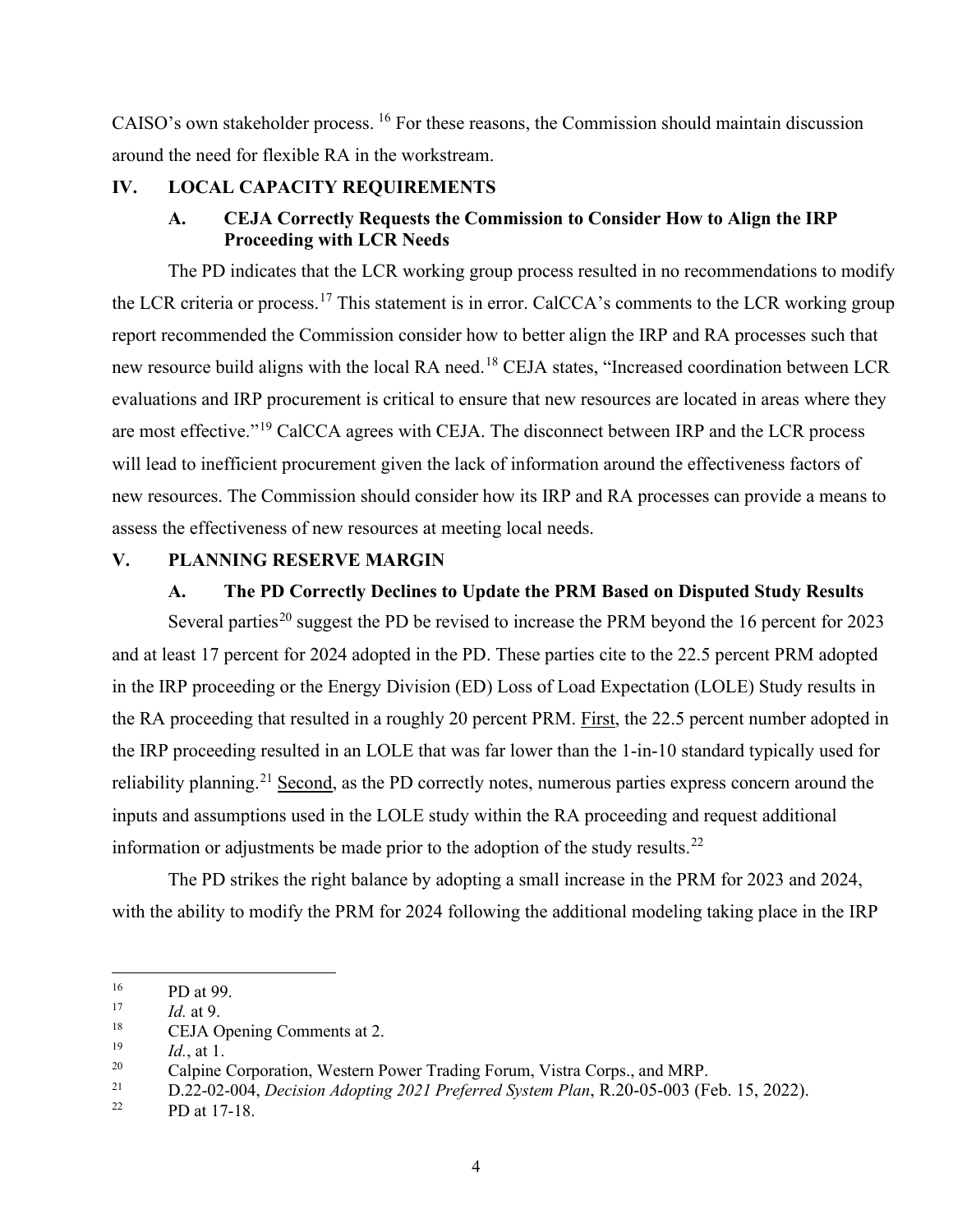CAISO's own stakeholder process. [16](#page-6-4) For these reasons, the Commission should maintain discussion around the need for flexible RA in the workstream.

## <span id="page-6-1"></span><span id="page-6-0"></span>**IV. LOCAL CAPACITY REQUIREMENTS**

## **A. CEJA Correctly Requests the Commission to Consider How to Align the IRP Proceeding with LCR Needs**

The PD indicates that the LCR working group process resulted in no recommendations to modify the LCR criteria or process.<sup>[17](#page-6-5)</sup> This statement is in error. CalCCA's comments to the LCR working group report recommended the Commission consider how to better align the IRP and RA processes such that new resource build aligns with the local RA need.<sup>[18](#page-6-6)</sup> CEJA states, "Increased coordination between LCR evaluations and IRP procurement is critical to ensure that new resources are located in areas where they are most effective."<sup>[19](#page-6-7)</sup> CalCCA agrees with CEJA. The disconnect between IRP and the LCR process will lead to inefficient procurement given the lack of information around the effectiveness factors of new resources. The Commission should consider how its IRP and RA processes can provide a means to assess the effectiveness of new resources at meeting local needs.

#### <span id="page-6-3"></span><span id="page-6-2"></span>**V. PLANNING RESERVE MARGIN**

#### **A. The PD Correctly Declines to Update the PRM Based on Disputed Study Results**

Several parties<sup>20</sup> suggest the PD be revised to increase the PRM beyond the 16 percent for 2023 and at least 17 percent for 2024 adopted in the PD. These parties cite to the 22.5 percent PRM adopted in the IRP proceeding or the Energy Division (ED) Loss of Load Expectation (LOLE) Study results in the RA proceeding that resulted in a roughly 20 percent PRM. First, the 22.5 percent number adopted in the IRP proceeding resulted in an LOLE that was far lower than the 1-in-10 standard typically used for reliability planning.<sup>[21](#page-6-9)</sup> Second, as the PD correctly notes, numerous parties express concern around the inputs and assumptions used in the LOLE study within the RA proceeding and request additional information or adjustments be made prior to the adoption of the study results.<sup>[22](#page-6-10)</sup>

The PD strikes the right balance by adopting a small increase in the PRM for 2023 and 2024, with the ability to modify the PRM for 2024 following the additional modeling taking place in the IRP

<span id="page-6-4"></span> $^{16}$  PD at 99.

<span id="page-6-5"></span> $\frac{17}{18}$  *Id.* at 9.

<span id="page-6-6"></span><sup>&</sup>lt;sup>18</sup> CEJA Opening Comments at 2.<br><sup>19</sup>  $I_{d-1}$  at 1

<span id="page-6-7"></span> $\frac{19}{20}$  *Id.*, at 1.

<span id="page-6-9"></span><span id="page-6-8"></span><sup>&</sup>lt;sup>20</sup> Calpine Corporation, Western Power Trading Forum, Vistra Corps., and MRP.<br>
21 D.22-02-004, *Decision Adopting 2021 Preferred System Plan*, R.20-05-003 (Feb. 15, 2022).<br>
22 PD at 17-18.

<span id="page-6-10"></span>